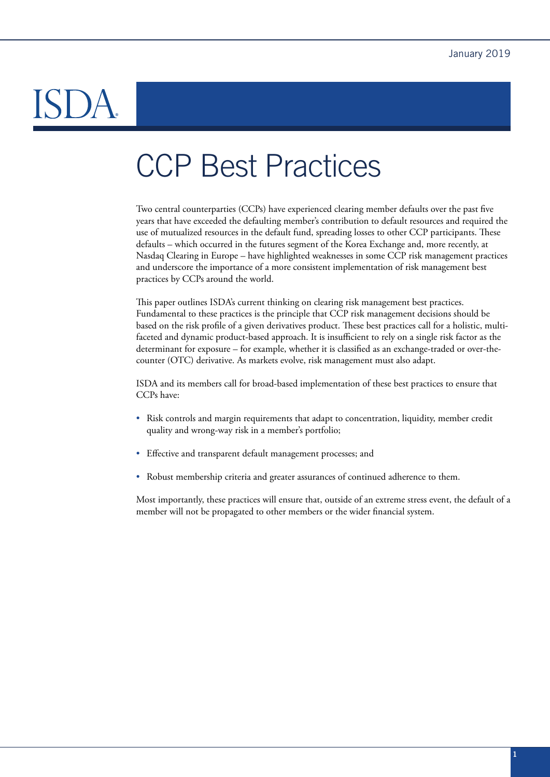# DÃ

# CCP Best Practices

Two central counterparties (CCPs) have experienced clearing member defaults over the past five years that have exceeded the defaulting member's contribution to default resources and required the use of mutualized resources in the default fund, spreading losses to other CCP participants. These defaults – which occurred in the futures segment of the Korea Exchange and, more recently, at Nasdaq Clearing in Europe – have highlighted weaknesses in some CCP risk management practices and underscore the importance of a more consistent implementation of risk management best practices by CCPs around the world.

This paper outlines ISDA's current thinking on clearing risk management best practices. Fundamental to these practices is the principle that CCP risk management decisions should be based on the risk profile of a given derivatives product. These best practices call for a holistic, multifaceted and dynamic product-based approach. It is insufficient to rely on a single risk factor as the determinant for exposure – for example, whether it is classified as an exchange-traded or over-thecounter (OTC) derivative. As markets evolve, risk management must also adapt.

ISDA and its members call for broad-based implementation of these best practices to ensure that CCPs have:

- Risk controls and margin requirements that adapt to concentration, liquidity, member credit quality and wrong-way risk in a member's portfolio;
- Effective and transparent default management processes; and
- Robust membership criteria and greater assurances of continued adherence to them.

Most importantly, these practices will ensure that, outside of an extreme stress event, the default of a member will not be propagated to other members or the wider financial system.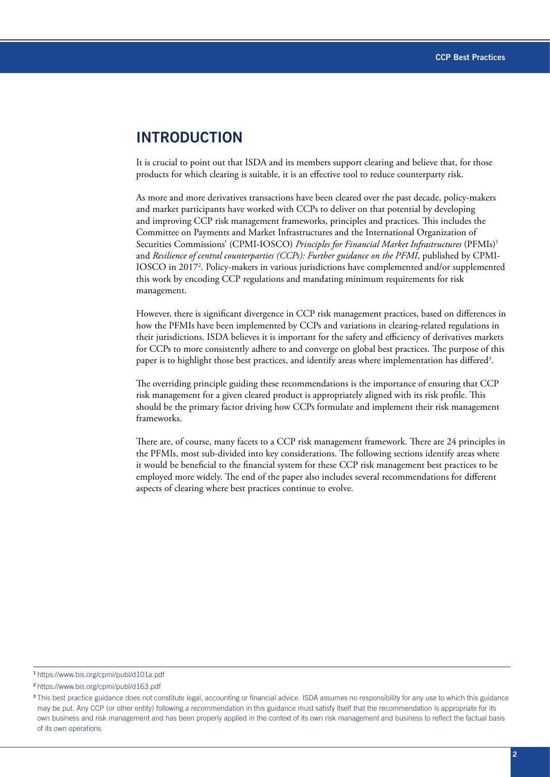## **INTRODUCTION**

It is crucial to point out that ISDA and its members support clearing and believe that, for those products for which clearing is suitable, it is an effective tool to reduce counterparty risk.

As more and more derivatives transactions have been cleared over the past decade, policy-makers and market participants have worked with CCPs to deliver on that potential by developing and improving CCP risk management frameworks, principles and practices. This includes the Committee on Payments and Market Infrastructures and the International Organization of Securities Commissions' (CPMI-IOSCO) *Principles for Financial Market Infrastructures* (PFMIs)1 and *Resilience of central counterparties (CCPs): Further guidance on the PFMI*, published by CPMI-IOSCO in 20172 . Policy-makers in various jurisdictions have complemented and/or supplemented this work by encoding CCP regulations and mandating minimum requirements for risk management.

However, there is significant divergence in CCP risk management practices, based on differences in how the PFMIs have been implemented by CCPs and variations in clearing-related regulations in their jurisdictions. ISDA believes it is important for the safety and efficiency of derivatives markets for CCPs to more consistently adhere to and converge on global best practices. The purpose of this paper is to highlight those best practices, and identify areas where implementation has differed $^3$ .

The overriding principle guiding these recommendations is the importance of ensuring that CCP risk management for a given cleared product is appropriately aligned with its risk profile. This should be the primary factor driving how CCPs formulate and implement their risk management frameworks.

There are, of course, many facets to a CCP risk management framework. There are 24 principles in the PFMIs, most sub-divided into key considerations. The following sections identify areas where it would be beneficial to the financial system for these CCP risk management best practices to be employed more widely. The end of the paper also includes several recommendations for different aspects of clearing where best practices continue to evolve.

<sup>1</sup><https://www.bis.org/cpmi/publ/d101a.pdf>

<sup>2</sup><https://www.bis.org/cpmi/publ/d163.pdf>

<sup>&</sup>lt;sup>3</sup> This best practice guidance does not constitute legal, accounting or financial advice. ISDA assumes no responsibility for any use to which this guidance may be put. Any CCP (or other entity) following a recommendation in this guidance must satisfy itself that the recommendation is appropriate for its own business and risk management and has been properly applied in the context of its own risk management and business to reflect the factual basis of its own operations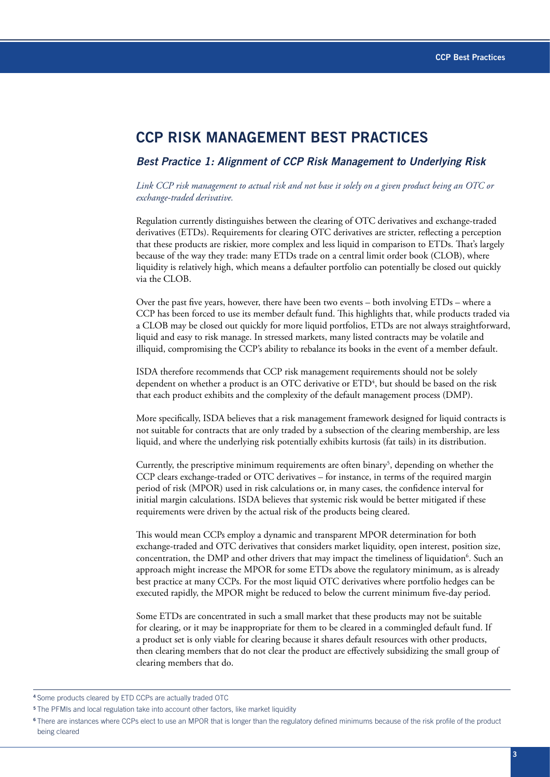## **CCP RISK MANAGEMENT BEST PRACTICES**

#### *Best Practice 1: Alignment of CCP Risk Management to Underlying Risk*

*Link CCP risk management to actual risk and not base it solely on a given product being an OTC or exchange-traded derivative.*

Regulation currently distinguishes between the clearing of OTC derivatives and exchange-traded derivatives (ETDs). Requirements for clearing OTC derivatives are stricter, reflecting a perception that these products are riskier, more complex and less liquid in comparison to ETDs. That's largely because of the way they trade: many ETDs trade on a central limit order book (CLOB), where liquidity is relatively high, which means a defaulter portfolio can potentially be closed out quickly via the CLOB.

Over the past five years, however, there have been two events – both involving ETDs – where a CCP has been forced to use its member default fund. This highlights that, while products traded via a CLOB may be closed out quickly for more liquid portfolios, ETDs are not always straightforward, liquid and easy to risk manage. In stressed markets, many listed contracts may be volatile and illiquid, compromising the CCP's ability to rebalance its books in the event of a member default.

ISDA therefore recommends that CCP risk management requirements should not be solely dependent on whether a product is an OTC derivative or  $\mathrm{ETD}^4$ , but should be based on the risk that each product exhibits and the complexity of the default management process (DMP).

More specifically, ISDA believes that a risk management framework designed for liquid contracts is not suitable for contracts that are only traded by a subsection of the clearing membership, are less liquid, and where the underlying risk potentially exhibits kurtosis (fat tails) in its distribution.

Currently, the prescriptive minimum requirements are often binary<sup>5</sup>, depending on whether the CCP clears exchange-traded or OTC derivatives – for instance, in terms of the required margin period of risk (MPOR) used in risk calculations or, in many cases, the confidence interval for initial margin calculations. ISDA believes that systemic risk would be better mitigated if these requirements were driven by the actual risk of the products being cleared.

This would mean CCPs employ a dynamic and transparent MPOR determination for both exchange-traded and OTC derivatives that considers market liquidity, open interest, position size, concentration, the DMP and other drivers that may impact the timeliness of liquidation<sup>6</sup>. Such an approach might increase the MPOR for some ETDs above the regulatory minimum, as is already best practice at many CCPs. For the most liquid OTC derivatives where portfolio hedges can be executed rapidly, the MPOR might be reduced to below the current minimum five-day period.

Some ETDs are concentrated in such a small market that these products may not be suitable for clearing, or it may be inappropriate for them to be cleared in a commingled default fund. If a product set is only viable for clearing because it shares default resources with other products, then clearing members that do not clear the product are effectively subsidizing the small group of clearing members that do.

<sup>4</sup>Some products cleared by ETD CCPs are actually traded OTC

<sup>&</sup>lt;sup>5</sup> The PFMIs and local regulation take into account other factors, like market liquidity

<sup>6</sup>There are instances where CCPs elect to use an MPOR that is longer than the regulatory defined minimums because of the risk profile of the product being cleared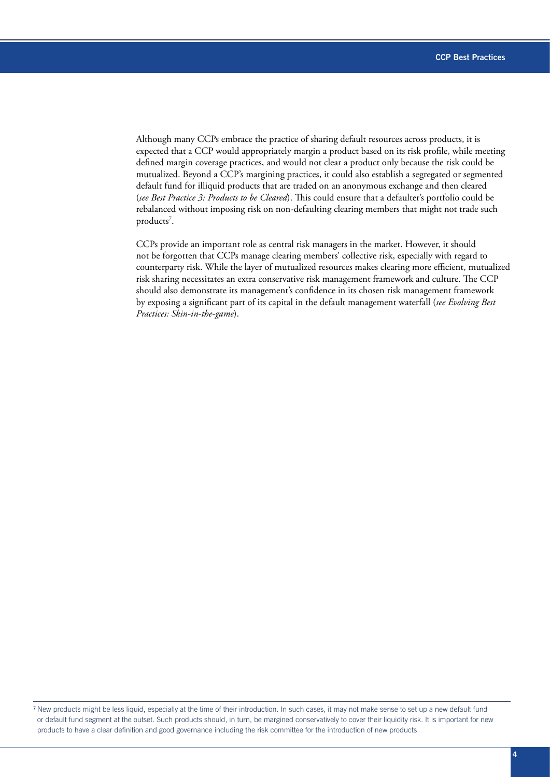Although many CCPs embrace the practice of sharing default resources across products, it is expected that a CCP would appropriately margin a product based on its risk profile, while meeting defined margin coverage practices, and would not clear a product only because the risk could be mutualized. Beyond a CCP's margining practices, it could also establish a segregated or segmented default fund for illiquid products that are traded on an anonymous exchange and then cleared (*see Best Practice 3: Products to be Cleared*). This could ensure that a defaulter's portfolio could be rebalanced without imposing risk on non-defaulting clearing members that might not trade such products<sup>7</sup>.

CCPs provide an important role as central risk managers in the market. However, it should not be forgotten that CCPs manage clearing members' collective risk, especially with regard to counterparty risk. While the layer of mutualized resources makes clearing more efficient, mutualized risk sharing necessitates an extra conservative risk management framework and culture. The CCP should also demonstrate its management's confidence in its chosen risk management framework by exposing a significant part of its capital in the default management waterfall (*see Evolving Best Practices: Skin-in-the-game*).

<sup>7</sup>New products might be less liquid, especially at the time of their introduction. In such cases, it may not make sense to set up a new default fund or default fund segment at the outset. Such products should, in turn, be margined conservatively to cover their liquidity risk. It is important for new products to have a clear definition and good governance including the risk committee for the introduction of new products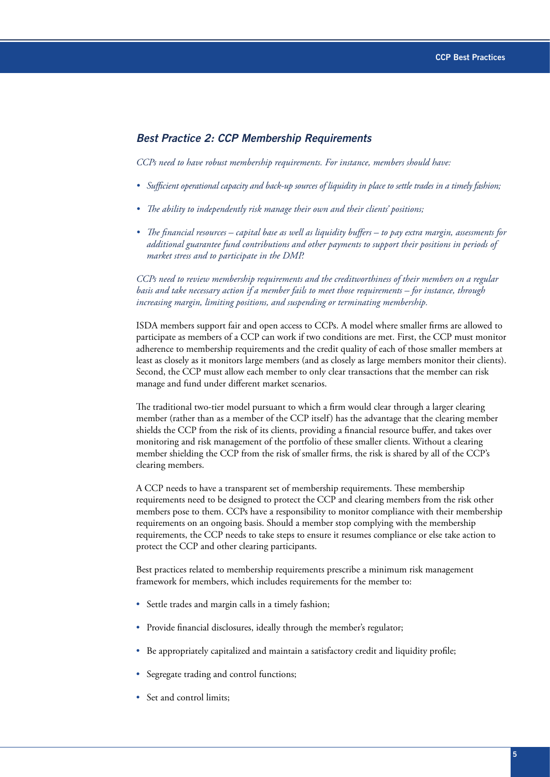#### *Best Practice 2: CCP Membership Requirements*

*CCPs need to have robust membership requirements. For instance, members should have:*

- *• Sufficient operational capacity and back-up sources of liquidity in place to settle trades in a timely fashion;*
- *• The ability to independently risk manage their own and their clients' positions;*
- *• The financial resources capital base as well as liquidity buffers to pay extra margin, assessments for additional guarantee fund contributions and other payments to support their positions in periods of market stress and to participate in the DMP.*

*CCPs need to review membership requirements and the creditworthiness of their members on a regular basis and take necessary action if a member fails to meet those requirements – for instance, through increasing margin, limiting positions, and suspending or terminating membership.*

ISDA members support fair and open access to CCPs. A model where smaller firms are allowed to participate as members of a CCP can work if two conditions are met. First, the CCP must monitor adherence to membership requirements and the credit quality of each of those smaller members at least as closely as it monitors large members (and as closely as large members monitor their clients). Second, the CCP must allow each member to only clear transactions that the member can risk manage and fund under different market scenarios.

The traditional two-tier model pursuant to which a firm would clear through a larger clearing member (rather than as a member of the CCP itself) has the advantage that the clearing member shields the CCP from the risk of its clients, providing a financial resource buffer, and takes over monitoring and risk management of the portfolio of these smaller clients. Without a clearing member shielding the CCP from the risk of smaller firms, the risk is shared by all of the CCP's clearing members.

A CCP needs to have a transparent set of membership requirements. These membership requirements need to be designed to protect the CCP and clearing members from the risk other members pose to them. CCPs have a responsibility to monitor compliance with their membership requirements on an ongoing basis. Should a member stop complying with the membership requirements, the CCP needs to take steps to ensure it resumes compliance or else take action to protect the CCP and other clearing participants.

Best practices related to membership requirements prescribe a minimum risk management framework for members, which includes requirements for the member to:

- Settle trades and margin calls in a timely fashion;
- Provide financial disclosures, ideally through the member's regulator;
- Be appropriately capitalized and maintain a satisfactory credit and liquidity profile;
- Segregate trading and control functions;
- Set and control limits;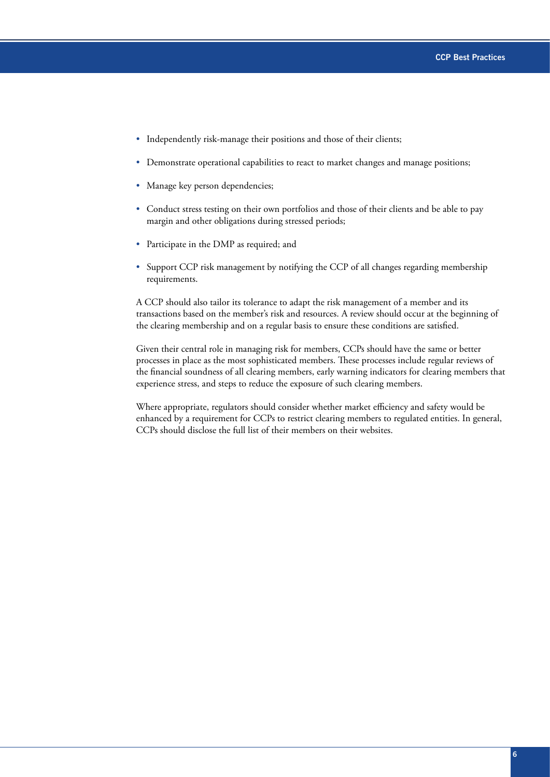- Independently risk-manage their positions and those of their clients;
- Demonstrate operational capabilities to react to market changes and manage positions;
- Manage key person dependencies;
- Conduct stress testing on their own portfolios and those of their clients and be able to pay margin and other obligations during stressed periods;
- Participate in the DMP as required; and
- Support CCP risk management by notifying the CCP of all changes regarding membership requirements.

A CCP should also tailor its tolerance to adapt the risk management of a member and its transactions based on the member's risk and resources. A review should occur at the beginning of the clearing membership and on a regular basis to ensure these conditions are satisfied.

Given their central role in managing risk for members, CCPs should have the same or better processes in place as the most sophisticated members. These processes include regular reviews of the financial soundness of all clearing members, early warning indicators for clearing members that experience stress, and steps to reduce the exposure of such clearing members.

Where appropriate, regulators should consider whether market efficiency and safety would be enhanced by a requirement for CCPs to restrict clearing members to regulated entities. In general, CCPs should disclose the full list of their members on their websites.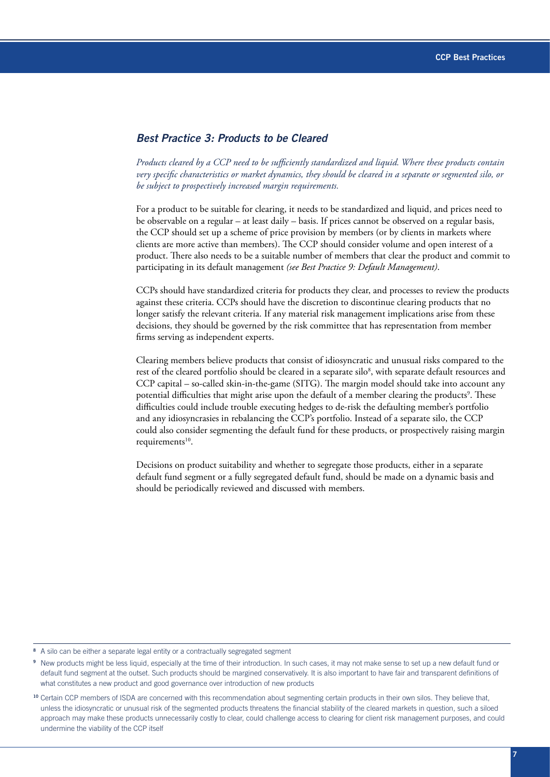#### *Best Practice 3: Products to be Cleared*

*Products cleared by a CCP need to be sufficiently standardized and liquid. Where these products contain very specific characteristics or market dynamics, they should be cleared in a separate or segmented silo, or be subject to prospectively increased margin requirements.*

For a product to be suitable for clearing, it needs to be standardized and liquid, and prices need to be observable on a regular – at least daily – basis. If prices cannot be observed on a regular basis, the CCP should set up a scheme of price provision by members (or by clients in markets where clients are more active than members). The CCP should consider volume and open interest of a product. There also needs to be a suitable number of members that clear the product and commit to participating in its default management *(see Best Practice 9: Default Management)*.

CCPs should have standardized criteria for products they clear, and processes to review the products against these criteria. CCPs should have the discretion to discontinue clearing products that no longer satisfy the relevant criteria. If any material risk management implications arise from these decisions, they should be governed by the risk committee that has representation from member firms serving as independent experts.

Clearing members believe products that consist of idiosyncratic and unusual risks compared to the rest of the cleared portfolio should be cleared in a separate silo<sup>8</sup>, with separate default resources and CCP capital – so-called skin-in-the-game (SITG). The margin model should take into account any potential difficulties that might arise upon the default of a member clearing the products<sup>9</sup>. These difficulties could include trouble executing hedges to de-risk the defaulting member's portfolio and any idiosyncrasies in rebalancing the CCP's portfolio. Instead of a separate silo, the CCP could also consider segmenting the default fund for these products, or prospectively raising margin requirements $10$ .

Decisions on product suitability and whether to segregate those products, either in a separate default fund segment or a fully segregated default fund, should be made on a dynamic basis and should be periodically reviewed and discussed with members.

A silo can be either a separate legal entity or a contractually segregated segment

<sup>9</sup>New products might be less liquid, especially at the time of their introduction. In such cases, it may not make sense to set up a new default fund or default fund segment at the outset. Such products should be margined conservatively. It is also important to have fair and transparent definitions of what constitutes a new product and good governance over introduction of new products

<sup>&</sup>lt;sup>10</sup> Certain CCP members of ISDA are concerned with this recommendation about segmenting certain products in their own silos. They believe that, unless the idiosyncratic or unusual risk of the segmented products threatens the financial stability of the cleared markets in question, such a siloed approach may make these products unnecessarily costly to clear, could challenge access to clearing for client risk management purposes, and could undermine the viability of the CCP itself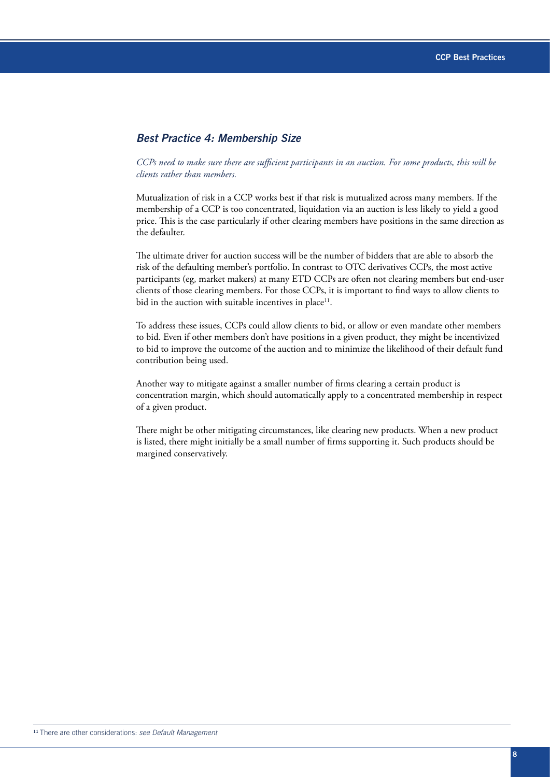#### *Best Practice 4: Membership Size*

#### *CCPs need to make sure there are sufficient participants in an auction. For some products, this will be clients rather than members.*

Mutualization of risk in a CCP works best if that risk is mutualized across many members. If the membership of a CCP is too concentrated, liquidation via an auction is less likely to yield a good price. This is the case particularly if other clearing members have positions in the same direction as the defaulter.

The ultimate driver for auction success will be the number of bidders that are able to absorb the risk of the defaulting member's portfolio. In contrast to OTC derivatives CCPs, the most active participants (eg, market makers) at many ETD CCPs are often not clearing members but end-user clients of those clearing members. For those CCPs, it is important to find ways to allow clients to bid in the auction with suitable incentives in place<sup>11</sup>.

To address these issues, CCPs could allow clients to bid, or allow or even mandate other members to bid. Even if other members don't have positions in a given product, they might be incentivized to bid to improve the outcome of the auction and to minimize the likelihood of their default fund contribution being used.

Another way to mitigate against a smaller number of firms clearing a certain product is concentration margin, which should automatically apply to a concentrated membership in respect of a given product.

There might be other mitigating circumstances, like clearing new products. When a new product is listed, there might initially be a small number of firms supporting it. Such products should be margined conservatively.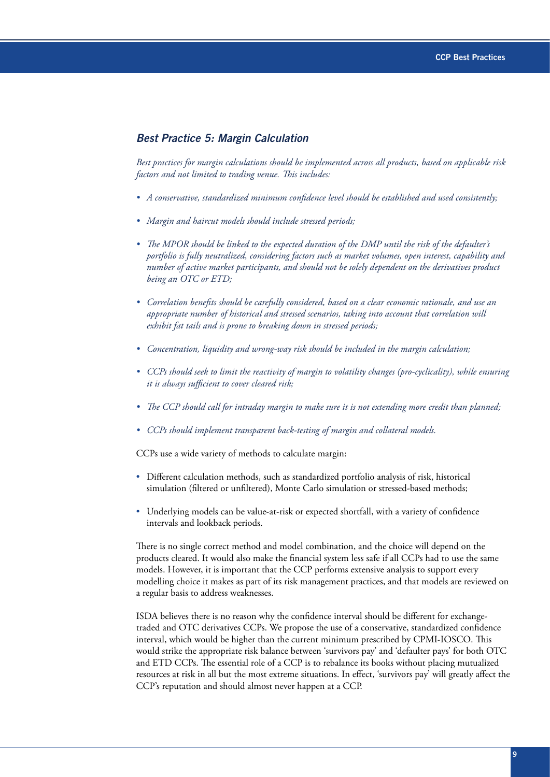#### *Best Practice 5: Margin Calculation*

*Best practices for margin calculations should be implemented across all products, based on applicable risk factors and not limited to trading venue. This includes:* 

- *• A conservative, standardized minimum confidence level should be established and used consistently;*
- *• Margin and haircut models should include stressed periods;*
- *• The MPOR should be linked to the expected duration of the DMP until the risk of the defaulter's portfolio is fully neutralized, considering factors such as market volumes, open interest, capability and number of active market participants, and should not be solely dependent on the derivatives product being an OTC or ETD;*
- *• Correlation benefits should be carefully considered, based on a clear economic rationale, and use an appropriate number of historical and stressed scenarios, taking into account that correlation will exhibit fat tails and is prone to breaking down in stressed periods;*
- *• Concentration, liquidity and wrong-way risk should be included in the margin calculation;*
- *• CCPs should seek to limit the reactivity of margin to volatility changes (pro-cyclicality), while ensuring it is always sufficient to cover cleared risk;*
- *• The CCP should call for intraday margin to make sure it is not extending more credit than planned;*
- *• CCPs should implement transparent back-testing of margin and collateral models.*

CCPs use a wide variety of methods to calculate margin:

- Different calculation methods, such as standardized portfolio analysis of risk, historical simulation (filtered or unfiltered), Monte Carlo simulation or stressed-based methods;
- Underlying models can be value-at-risk or expected shortfall, with a variety of confidence intervals and lookback periods.

There is no single correct method and model combination, and the choice will depend on the products cleared. It would also make the financial system less safe if all CCPs had to use the same models. However, it is important that the CCP performs extensive analysis to support every modelling choice it makes as part of its risk management practices, and that models are reviewed on a regular basis to address weaknesses.

ISDA believes there is no reason why the confidence interval should be different for exchangetraded and OTC derivatives CCPs. We propose the use of a conservative, standardized confidence interval, which would be higher than the current minimum prescribed by CPMI-IOSCO. This would strike the appropriate risk balance between 'survivors pay' and 'defaulter pays' for both OTC and ETD CCPs. The essential role of a CCP is to rebalance its books without placing mutualized resources at risk in all but the most extreme situations. In effect, 'survivors pay' will greatly affect the CCP's reputation and should almost never happen at a CCP.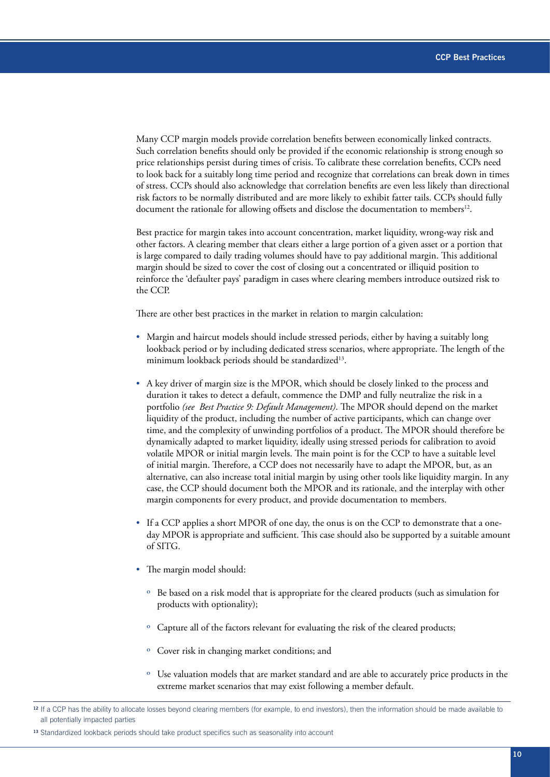Many CCP margin models provide correlation benefits between economically linked contracts. Such correlation benefits should only be provided if the economic relationship is strong enough so price relationships persist during times of crisis. To calibrate these correlation benefits, CCPs need to look back for a suitably long time period and recognize that correlations can break down in times of stress. CCPs should also acknowledge that correlation benefits are even less likely than directional risk factors to be normally distributed and are more likely to exhibit fatter tails. CCPs should fully document the rationale for allowing offsets and disclose the documentation to members<sup>12</sup>.

Best practice for margin takes into account concentration, market liquidity, wrong-way risk and other factors. A clearing member that clears either a large portion of a given asset or a portion that is large compared to daily trading volumes should have to pay additional margin. This additional margin should be sized to cover the cost of closing out a concentrated or illiquid position to reinforce the 'defaulter pays' paradigm in cases where clearing members introduce outsized risk to the CCP.

There are other best practices in the market in relation to margin calculation:

- Margin and haircut models should include stressed periods, either by having a suitably long lookback period or by including dedicated stress scenarios, where appropriate. The length of the minimum lookback periods should be standardized<sup>13</sup>.
- A key driver of margin size is the MPOR, which should be closely linked to the process and duration it takes to detect a default, commence the DMP and fully neutralize the risk in a portfolio *(see Best Practice 9: Default Management)*. The MPOR should depend on the market liquidity of the product, including the number of active participants, which can change over time, and the complexity of unwinding portfolios of a product. The MPOR should therefore be dynamically adapted to market liquidity, ideally using stressed periods for calibration to avoid volatile MPOR or initial margin levels. The main point is for the CCP to have a suitable level of initial margin. Therefore, a CCP does not necessarily have to adapt the MPOR, but, as an alternative, can also increase total initial margin by using other tools like liquidity margin. In any case, the CCP should document both the MPOR and its rationale, and the interplay with other margin components for every product, and provide documentation to members.
- If a CCP applies a short MPOR of one day, the onus is on the CCP to demonstrate that a oneday MPOR is appropriate and sufficient. This case should also be supported by a suitable amount of SITG.
- The margin model should:
	- º Be based on a risk model that is appropriate for the cleared products (such as simulation for products with optionality);
	- º Capture all of the factors relevant for evaluating the risk of the cleared products;
	- º Cover risk in changing market conditions; and
	- º Use valuation models that are market standard and are able to accurately price products in the extreme market scenarios that may exist following a member default.

<sup>&</sup>lt;sup>12</sup> If a CCP has the ability to allocate losses beyond clearing members (for example, to end investors), then the information should be made available to all potentially impacted parties

<sup>13</sup> Standardized lookback periods should take product specifics such as seasonality into account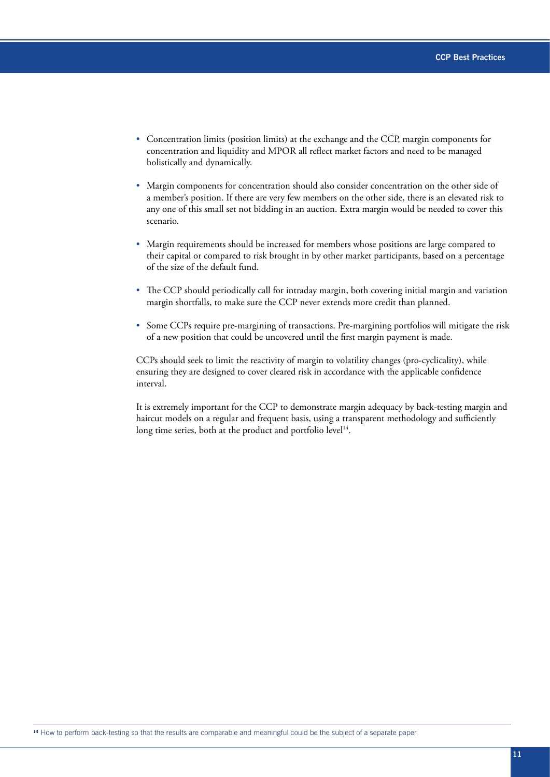- Concentration limits (position limits) at the exchange and the CCP, margin components for concentration and liquidity and MPOR all reflect market factors and need to be managed holistically and dynamically.
- Margin components for concentration should also consider concentration on the other side of a member's position. If there are very few members on the other side, there is an elevated risk to any one of this small set not bidding in an auction. Extra margin would be needed to cover this scenario.
- Margin requirements should be increased for members whose positions are large compared to their capital or compared to risk brought in by other market participants, based on a percentage of the size of the default fund.
- The CCP should periodically call for intraday margin, both covering initial margin and variation margin shortfalls, to make sure the CCP never extends more credit than planned.
- Some CCPs require pre-margining of transactions. Pre-margining portfolios will mitigate the risk of a new position that could be uncovered until the first margin payment is made.

CCPs should seek to limit the reactivity of margin to volatility changes (pro-cyclicality), while ensuring they are designed to cover cleared risk in accordance with the applicable confidence interval.

It is extremely important for the CCP to demonstrate margin adequacy by back-testing margin and haircut models on a regular and frequent basis, using a transparent methodology and sufficiently long time series, both at the product and portfolio level<sup>14</sup>.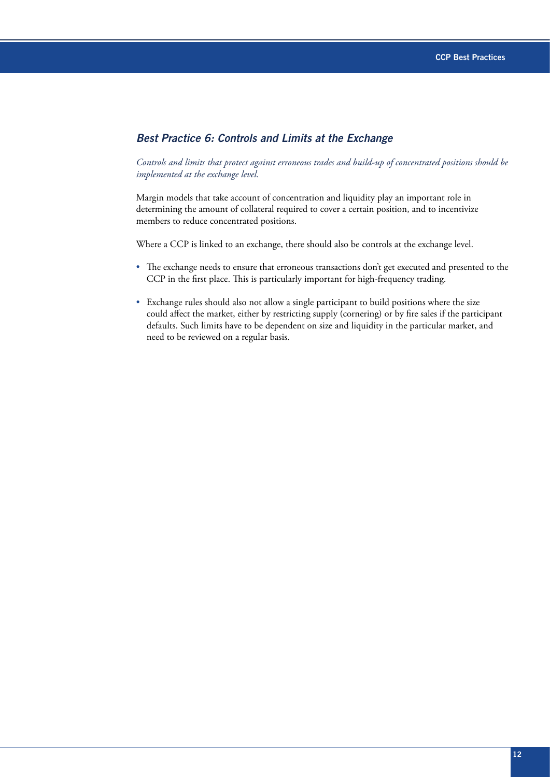#### *Best Practice 6: Controls and Limits at the Exchange*

#### *Controls and limits that protect against erroneous trades and build-up of concentrated positions should be implemented at the exchange level.*

Margin models that take account of concentration and liquidity play an important role in determining the amount of collateral required to cover a certain position, and to incentivize members to reduce concentrated positions.

Where a CCP is linked to an exchange, there should also be controls at the exchange level.

- The exchange needs to ensure that erroneous transactions don't get executed and presented to the CCP in the first place. This is particularly important for high-frequency trading.
- Exchange rules should also not allow a single participant to build positions where the size could affect the market, either by restricting supply (cornering) or by fire sales if the participant defaults. Such limits have to be dependent on size and liquidity in the particular market, and need to be reviewed on a regular basis.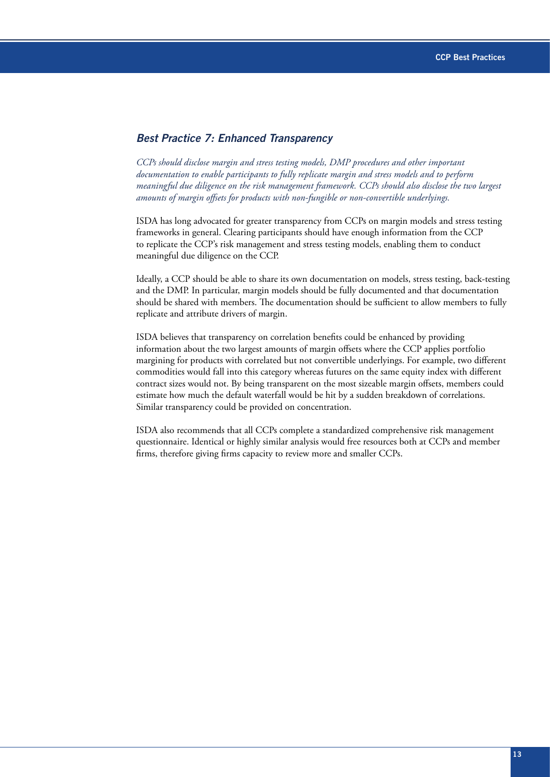#### *Best Practice 7: Enhanced Transparency*

*CCPs should disclose margin and stress testing models, DMP procedures and other important documentation to enable participants to fully replicate margin and stress models and to perform meaningful due diligence on the risk management framework. CCPs should also disclose the two largest amounts of margin offsets for products with non-fungible or non-convertible underlyings.*

ISDA has long advocated for greater transparency from CCPs on margin models and stress testing frameworks in general. Clearing participants should have enough information from the CCP to replicate the CCP's risk management and stress testing models, enabling them to conduct meaningful due diligence on the CCP.

Ideally, a CCP should be able to share its own documentation on models, stress testing, back-testing and the DMP. In particular, margin models should be fully documented and that documentation should be shared with members. The documentation should be sufficient to allow members to fully replicate and attribute drivers of margin.

ISDA believes that transparency on correlation benefits could be enhanced by providing information about the two largest amounts of margin offsets where the CCP applies portfolio margining for products with correlated but not convertible underlyings. For example, two different commodities would fall into this category whereas futures on the same equity index with different contract sizes would not. By being transparent on the most sizeable margin offsets, members could estimate how much the default waterfall would be hit by a sudden breakdown of correlations. Similar transparency could be provided on concentration.

ISDA also recommends that all CCPs complete a standardized comprehensive risk management questionnaire. Identical or highly similar analysis would free resources both at CCPs and member firms, therefore giving firms capacity to review more and smaller CCPs.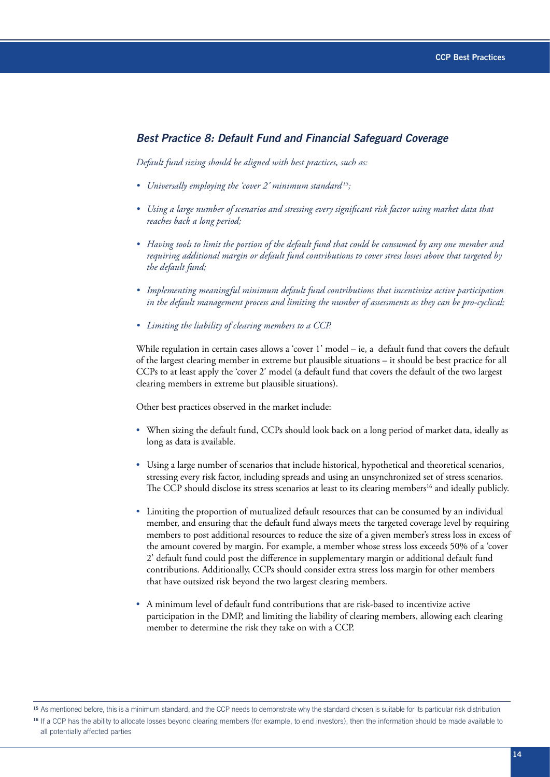#### *Best Practice 8: Default Fund and Financial Safeguard Coverage*

*Default fund sizing should be aligned with best practices, such as:*

- *• Universally employing the 'cover 2' minimum standard 15;*
- *• Using a large number of scenarios and stressing every significant risk factor using market data that reaches back a long period;*
- *• Having tools to limit the portion of the default fund that could be consumed by any one member and requiring additional margin or default fund contributions to cover stress losses above that targeted by the default fund;*
- *• Implementing meaningful minimum default fund contributions that incentivize active participation in the default management process and limiting the number of assessments as they can be pro-cyclical;*
- *• Limiting the liability of clearing members to a CCP.*

While regulation in certain cases allows a 'cover 1' model – ie, a default fund that covers the default of the largest clearing member in extreme but plausible situations – it should be best practice for all CCPs to at least apply the 'cover 2' model (a default fund that covers the default of the two largest clearing members in extreme but plausible situations).

Other best practices observed in the market include:

- When sizing the default fund, CCPs should look back on a long period of market data, ideally as long as data is available.
- Using a large number of scenarios that include historical, hypothetical and theoretical scenarios, stressing every risk factor, including spreads and using an unsynchronized set of stress scenarios. The CCP should disclose its stress scenarios at least to its clearing members<sup>16</sup> and ideally publicly.
- Limiting the proportion of mutualized default resources that can be consumed by an individual member, and ensuring that the default fund always meets the targeted coverage level by requiring members to post additional resources to reduce the size of a given member's stress loss in excess of the amount covered by margin. For example, a member whose stress loss exceeds 50% of a 'cover 2' default fund could post the difference in supplementary margin or additional default fund contributions. Additionally, CCPs should consider extra stress loss margin for other members that have outsized risk beyond the two largest clearing members.
- A minimum level of default fund contributions that are risk-based to incentivize active participation in the DMP, and limiting the liability of clearing members, allowing each clearing member to determine the risk they take on with a CCP.

<sup>15</sup> As mentioned before, this is a minimum standard, and the CCP needs to demonstrate why the standard chosen is suitable for its particular risk distribution <sup>16</sup> If a CCP has the ability to allocate losses beyond clearing members (for example, to end investors), then the information should be made available to all potentially affected parties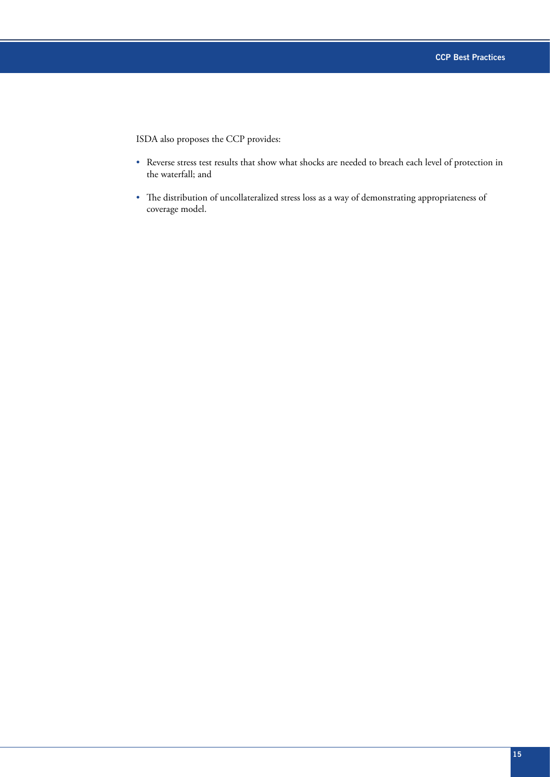ISDA also proposes the CCP provides:

- Reverse stress test results that show what shocks are needed to breach each level of protection in the waterfall; and
- The distribution of uncollateralized stress loss as a way of demonstrating appropriateness of coverage model.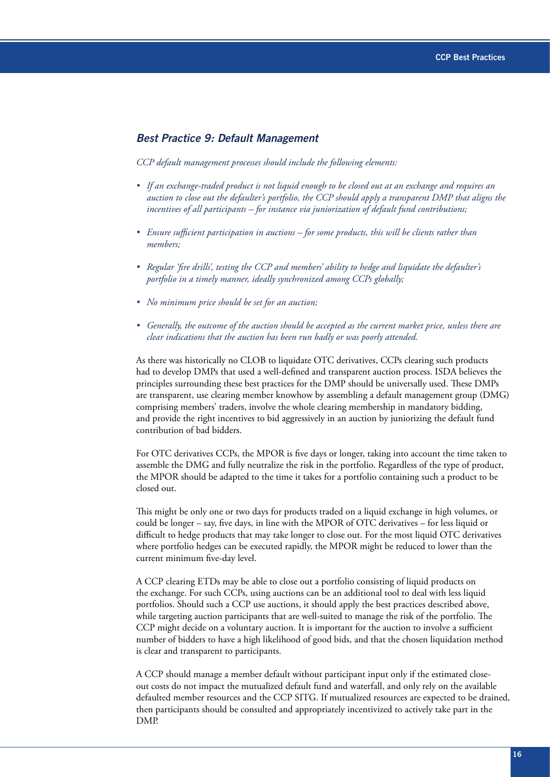#### *Best Practice 9: Default Management*

*CCP default management processes should include the following elements:*

- If an exchange-traded product is not liquid enough to be closed out at an exchange and requires an *auction to close out the defaulter's portfolio, the CCP should apply a transparent DMP that aligns the incentives of all participants – for instance via juniorization of default fund contributions;*
- *• Ensure sufficient participation in auctions for some products, this will be clients rather than members;*
- *• Regular 'fire drills', testing the CCP and members' ability to hedge and liquidate the defaulter's portfolio in a timely manner, ideally synchronized among CCPs globally;*
- *• No minimum price should be set for an auction;*
- *• Generally, the outcome of the auction should be accepted as the current market price, unless there are clear indications that the auction has been run badly or was poorly attended.*

As there was historically no CLOB to liquidate OTC derivatives, CCPs clearing such products had to develop DMPs that used a well-defined and transparent auction process. ISDA believes the principles surrounding these best practices for the DMP should be universally used. These DMPs are transparent, use clearing member knowhow by assembling a default management group (DMG) comprising members' traders, involve the whole clearing membership in mandatory bidding, and provide the right incentives to bid aggressively in an auction by juniorizing the default fund contribution of bad bidders.

For OTC derivatives CCPs, the MPOR is five days or longer, taking into account the time taken to assemble the DMG and fully neutralize the risk in the portfolio. Regardless of the type of product, the MPOR should be adapted to the time it takes for a portfolio containing such a product to be closed out.

This might be only one or two days for products traded on a liquid exchange in high volumes, or could be longer – say, five days, in line with the MPOR of OTC derivatives – for less liquid or difficult to hedge products that may take longer to close out. For the most liquid OTC derivatives where portfolio hedges can be executed rapidly, the MPOR might be reduced to lower than the current minimum five-day level.

A CCP clearing ETDs may be able to close out a portfolio consisting of liquid products on the exchange. For such CCPs, using auctions can be an additional tool to deal with less liquid portfolios. Should such a CCP use auctions, it should apply the best practices described above, while targeting auction participants that are well-suited to manage the risk of the portfolio. The CCP might decide on a voluntary auction. It is important for the auction to involve a sufficient number of bidders to have a high likelihood of good bids, and that the chosen liquidation method is clear and transparent to participants.

A CCP should manage a member default without participant input only if the estimated closeout costs do not impact the mutualized default fund and waterfall, and only rely on the available defaulted member resources and the CCP SITG. If mutualized resources are expected to be drained, then participants should be consulted and appropriately incentivized to actively take part in the DMP.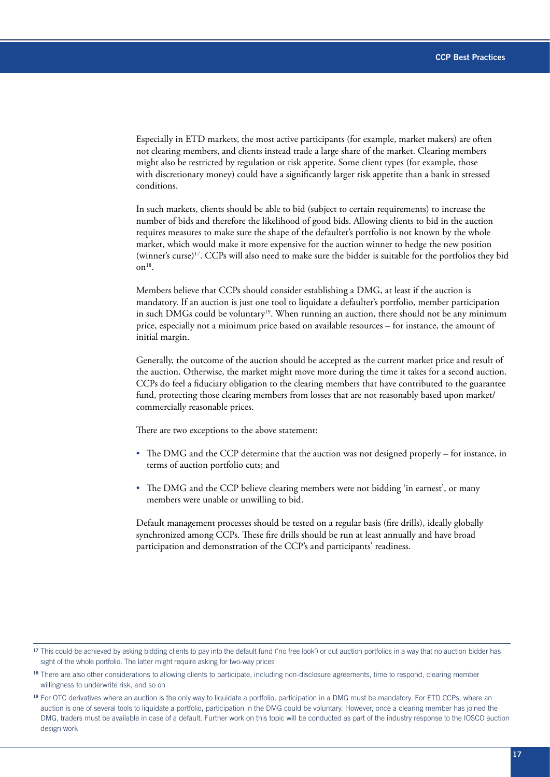Especially in ETD markets, the most active participants (for example, market makers) are often not clearing members, and clients instead trade a large share of the market. Clearing members might also be restricted by regulation or risk appetite. Some client types (for example, those with discretionary money) could have a significantly larger risk appetite than a bank in stressed conditions.

In such markets, clients should be able to bid (subject to certain requirements) to increase the number of bids and therefore the likelihood of good bids. Allowing clients to bid in the auction requires measures to make sure the shape of the defaulter's portfolio is not known by the whole market, which would make it more expensive for the auction winner to hedge the new position (winner's curse)17. CCPs will also need to make sure the bidder is suitable for the portfolios they bid  $\text{on}^{18}$ .

Members believe that CCPs should consider establishing a DMG, at least if the auction is mandatory. If an auction is just one tool to liquidate a defaulter's portfolio, member participation in such DMGs could be voluntary<sup>19</sup>. When running an auction, there should not be any minimum price, especially not a minimum price based on available resources – for instance, the amount of initial margin.

Generally, the outcome of the auction should be accepted as the current market price and result of the auction. Otherwise, the market might move more during the time it takes for a second auction. CCPs do feel a fiduciary obligation to the clearing members that have contributed to the guarantee fund, protecting those clearing members from losses that are not reasonably based upon market/ commercially reasonable prices.

There are two exceptions to the above statement:

- The DMG and the CCP determine that the auction was not designed properly for instance, in terms of auction portfolio cuts; and
- The DMG and the CCP believe clearing members were not bidding 'in earnest', or many members were unable or unwilling to bid.

Default management processes should be tested on a regular basis (fire drills), ideally globally synchronized among CCPs. These fire drills should be run at least annually and have broad participation and demonstration of the CCP's and participants' readiness.

<sup>&</sup>lt;sup>17</sup> This could be achieved by asking bidding clients to pay into the default fund ('no free look') or cut auction portfolios in a way that no auction bidder has sight of the whole portfolio. The latter might require asking for two-way prices

<sup>18</sup> There are also other considerations to allowing clients to participate, including non-disclosure agreements, time to respond, clearing member willingness to underwrite risk, and so on

<sup>&</sup>lt;sup>19</sup> For OTC derivatives where an auction is the only way to liquidate a portfolio, participation in a DMG must be mandatory. For ETD CCPs, where an auction is one of several tools to liquidate a portfolio, participation in the DMG could be voluntary. However, once a clearing member has joined the DMG, traders must be available in case of a default. Further work on this topic will be conducted as part of the industry response to the IOSCO auction design work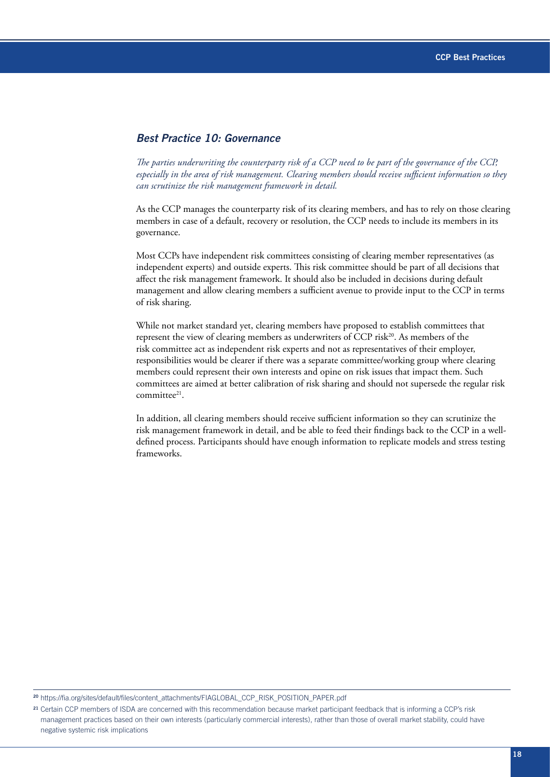#### *Best Practice 10: Governance*

*The parties underwriting the counterparty risk of a CCP need to be part of the governance of the CCP, especially in the area of risk management. Clearing members should receive sufficient information so they can scrutinize the risk management framework in detail.*

As the CCP manages the counterparty risk of its clearing members, and has to rely on those clearing members in case of a default, recovery or resolution, the CCP needs to include its members in its governance.

Most CCPs have independent risk committees consisting of clearing member representatives (as independent experts) and outside experts. This risk committee should be part of all decisions that affect the risk management framework. It should also be included in decisions during default management and allow clearing members a sufficient avenue to provide input to the CCP in terms of risk sharing.

While not market standard yet, clearing members have proposed to establish committees that represent the view of clearing members as underwriters of CCP risk<sup>20</sup>. As members of the risk committee act as independent risk experts and not as representatives of their employer, responsibilities would be clearer if there was a separate committee/working group where clearing members could represent their own interests and opine on risk issues that impact them. Such committees are aimed at better calibration of risk sharing and should not supersede the regular risk committee<sup>21</sup>.

In addition, all clearing members should receive sufficient information so they can scrutinize the risk management framework in detail, and be able to feed their findings back to the CCP in a welldefined process. Participants should have enough information to replicate models and stress testing frameworks.

<sup>20</sup> [https://fia.org/sites/default/files/content\\_attachments/FIAGLOBAL\\_CCP\\_RISK\\_POSITION\\_PAPER.pdf](https://fia.org/sites/default/files/content_attachments/FIAGLOBAL_CCP_RISK_POSITION_PAPER.pdf)

<sup>&</sup>lt;sup>21</sup> Certain CCP members of ISDA are concerned with this recommendation because market participant feedback that is informing a CCP's risk management practices based on their own interests (particularly commercial interests), rather than those of overall market stability, could have negative systemic risk implications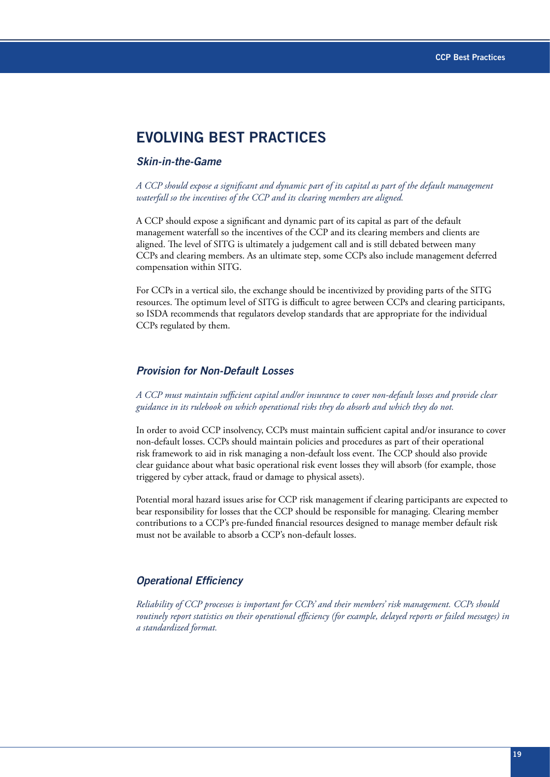# **EVOLVING BEST PRACTICES**

#### *Skin-in-the-Game*

*A CCP should expose a significant and dynamic part of its capital as part of the default management waterfall so the incentives of the CCP and its clearing members are aligned.*

A CCP should expose a significant and dynamic part of its capital as part of the default management waterfall so the incentives of the CCP and its clearing members and clients are aligned. The level of SITG is ultimately a judgement call and is still debated between many CCPs and clearing members. As an ultimate step, some CCPs also include management deferred compensation within SITG.

For CCPs in a vertical silo, the exchange should be incentivized by providing parts of the SITG resources. The optimum level of SITG is difficult to agree between CCPs and clearing participants, so ISDA recommends that regulators develop standards that are appropriate for the individual CCPs regulated by them.

#### *Provision for Non-Default Losses*

*A CCP must maintain sufficient capital and/or insurance to cover non-default losses and provide clear guidance in its rulebook on which operational risks they do absorb and which they do not.*

In order to avoid CCP insolvency, CCPs must maintain sufficient capital and/or insurance to cover non-default losses. CCPs should maintain policies and procedures as part of their operational risk framework to aid in risk managing a non-default loss event. The CCP should also provide clear guidance about what basic operational risk event losses they will absorb (for example, those triggered by cyber attack, fraud or damage to physical assets).

Potential moral hazard issues arise for CCP risk management if clearing participants are expected to bear responsibility for losses that the CCP should be responsible for managing. Clearing member contributions to a CCP's pre-funded financial resources designed to manage member default risk must not be available to absorb a CCP's non-default losses.

#### *Operational Efficiency*

*Reliability of CCP processes is important for CCPs' and their members' risk management. CCPs should routinely report statistics on their operational efficiency (for example, delayed reports or failed messages) in a standardized format.*